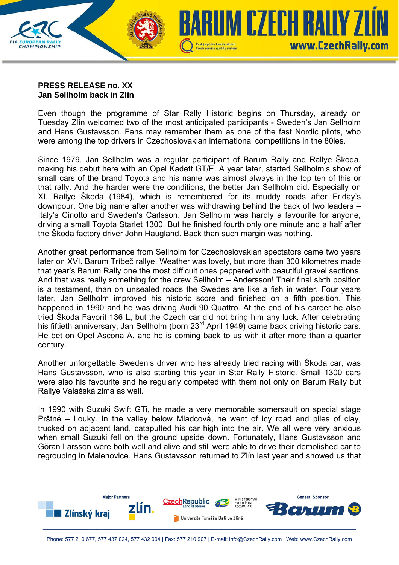

## **PRESS RELEASE no. XX Jan Sellholm back in Zlín**

Even though the programme of Star Rally Historic begins on Thursday, already on Tuesday Zlín welcomed two of the most anticipated participants - Sweden's Jan Sellholm and Hans Gustavsson. Fans may remember them as one of the fast Nordic pilots, who were among the top drivers in Czechoslovakian international competitions in the 80ies.

Since 1979, Jan Sellholm was a regular participant of Barum Rally and Rallye Škoda, making his debut here with an Opel Kadett GT/E. A year later, started Sellholm's show of small cars of the brand Toyota and his name was almost always in the top ten of this or that rally. And the harder were the conditions, the better Jan Sellholm did. Especially on XI. Rallye Škoda (1984), which is remembered for its muddy roads after Friday's downpour. One big name after another was withdrawing behind the back of two leaders – Italy's Cinotto and Sweden's Carlsson. Jan Sellholm was hardly a favourite for anyone, driving a small Toyota Starlet 1300. But he finished fourth only one minute and a half after the Škoda factory driver John Haugland. Back than such margin was nothing.

Another great performance from Sellholm for Czechoslovakian spectators came two years later on XVI. Barum Tríbeč rallye. Weather was lovely, but more than 300 kilometres made that year's Barum Rally one the most difficult ones peppered with beautiful gravel sections. And that was really something for the crew Sellholm – Andersson! Their final sixth position is a testament, than on unsealed roads the Swedes are like a fish in water. Four years later, Jan Sellholm improved his historic score and finished on a fifth position. This happened in 1990 and he was driving Audi 90 Quattro. At the end of his career he also tried Škoda Favorit 136 L, but the Czech car did not bring him any luck. After celebrating his fiftieth anniversary, Jan Sellholm (born 23<sup>rd</sup> April 1949) came back driving historic cars. He bet on Opel Ascona A, and he is coming back to us with it after more than a quarter century.

Another unforgettable Sweden's driver who has already tried racing with Škoda car, was Hans Gustavsson, who is also starting this year in Star Rally Historic. Small 1300 cars were also his favourite and he regularly competed with them not only on Barum Rally but Rallye Valašská zima as well.

In 1990 with Suzuki Swift GTi, he made a very memorable somersault on special stage Prštné – Louky. In the valley below Mladcová, he went of icy road and piles of clay, trucked on adjacent land, catapulted his car high into the air. We all were very anxious when small Suzuki fell on the ground upside down. Fortunately, Hans Gustavsson and Göran Larsson were both well and alive and still were able to drive their demolished car to regrouping in Malenovice. Hans Gustavsson returned to Zlín last year and showed us that